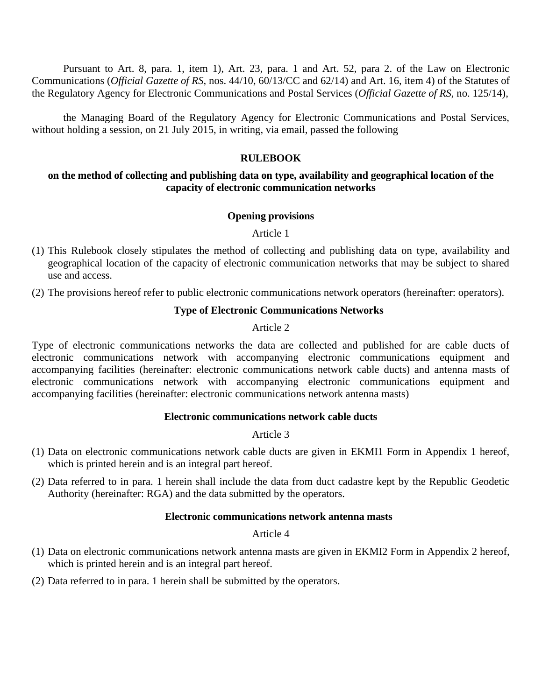Pursuant to Art. 8, para. 1, item 1), Art. 23, para. 1 and Art. 52, para 2. of the Law on Electronic Communications (*Official Gazette of RS,* nos. 44/10, 60/13/CC and 62/14) and Art. 16, item 4) of the Statutes of the Regulatory Agency for Electronic Communications and Postal Services (*Official Gazette of RS,* no. 125/14),

the Managing Board of the Regulatory Agency for Electronic Communications and Postal Services, without holding a session, on 21 July 2015, in writing, via email, passed the following

#### **RULEBOOK**

#### **on the method of collecting and publishing data on type, availability and geographical location of the capacity of electronic communication networks**

#### **Opening provisions**

Article 1

- (1) This Rulebook closely stipulates the method of collecting and publishing data on type, availability and geographical location of the capacity of electronic communication networks that may be subject to shared use and access.
- (2) The provisions hereof refer to public electronic communications network operators (hereinafter: operators).

#### **Type of Electronic Communications Networks**

Article 2

Type of electronic communications networks the data are collected and published for are cable ducts of electronic communications network with accompanying electronic communications equipment and accompanying facilities (hereinafter: electronic communications network cable ducts) and antenna masts of electronic communications network with accompanying electronic communications equipment and accompanying facilities (hereinafter: electronic communications network antenna masts)

#### **Electronic communications network cable ducts**

#### Article 3

- (1) Data on electronic communications network cable ducts are given in EKMI1 Form in Appendix 1 hereof, which is printed herein and is an integral part hereof.
- (2) Data referred to in para. 1 herein shall include the data from duct cadastre kept by the Republic Geodetic Authority (hereinafter: RGA) and the data submitted by the operators.

#### **Electronic communications network antenna masts**

#### Article 4

- (1) Data on electronic communications network antenna masts are given in EKMI2 Form in Appendix 2 hereof, which is printed herein and is an integral part hereof.
- (2) Data referred to in para. 1 herein shall be submitted by the operators.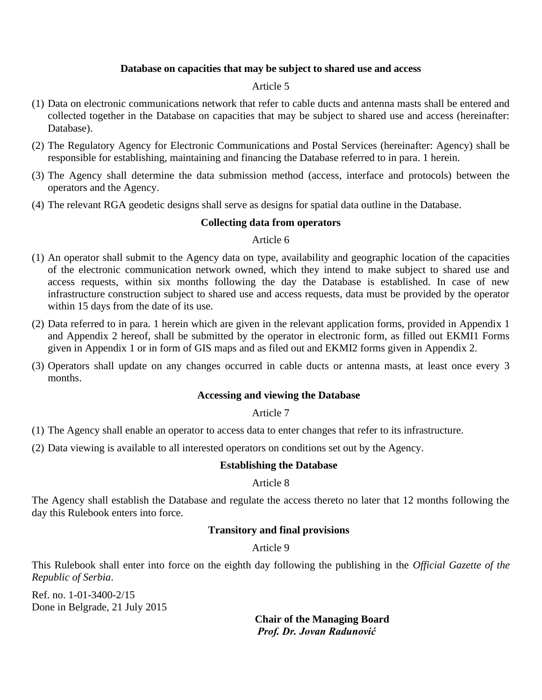### **Database on capacities that may be subject to shared use and access**

#### Article 5

- (1) Data on electronic communications network that refer to cable ducts and antenna masts shall be entered and collected together in the Database on capacities that may be subject to shared use and access (hereinafter: Database).
- (2) The Regulatory Agency for Electronic Communications and Postal Services (hereinafter: Agency) shall be responsible for establishing, maintaining and financing the Database referred to in para. 1 herein.
- (3) The Agency shall determine the data submission method (access, interface and protocols) between the operators and the Agency.
- (4) The relevant RGA geodetic designs shall serve as designs for spatial data outline in the Database.

### **Collecting data from operators**

#### Article 6

- (1) An operator shall submit to the Agency data on type, availability and geographic location of the capacities of the electronic communication network owned, which they intend to make subject to shared use and access requests, within six months following the day the Database is established. In case of new infrastructure construction subject to shared use and access requests, data must be provided by the operator within 15 days from the date of its use.
- (2) Data referred to in para. 1 herein which are given in the relevant application forms, provided in Appendix 1 and Appendix 2 hereof, shall be submitted by the operator in electronic form, as filled out EKMI1 Forms given in Appendix 1 or in form of GIS maps and as filed out and EKMI2 forms given in Appendix 2.
- (3) Operators shall update on any changes occurred in cable ducts or antenna masts, at least once every 3 months.

#### **Accessing and viewing the Database**

#### Article 7

- (1) The Agency shall enable an operator to access data to enter changes that refer to its infrastructure.
- (2) Data viewing is available to all interested operators on conditions set out by the Agency.

#### **Establishing the Database**

#### Article 8

The Agency shall establish the Database and regulate the access thereto no later that 12 months following the day this Rulebook enters into force.

## **Transitory and final provisions**

## Article 9

This Rulebook shall enter into force on the eighth day following the publishing in the *Official Gazette of the Republic of Serbia*.

Ref. no. 1-01-3400-2/15 Done in Belgrade, 21 July 2015

**Chair of the Managing Board** *Prof. Dr. Jovan Radunović*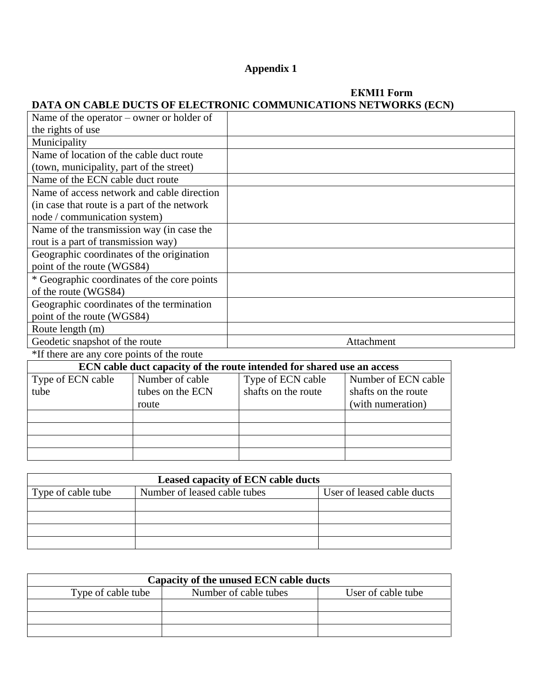# **Appendix 1**

# **ЕКМI1 Form DATA ON CABLE DUCTS OF ELECTRONIC COMMUNICATIONS NETWORKS (ECN)**

| Name of the operator $-$ owner or holder of                            |                  |                     |                     |  |
|------------------------------------------------------------------------|------------------|---------------------|---------------------|--|
| the rights of use                                                      |                  |                     |                     |  |
| Municipality                                                           |                  |                     |                     |  |
| Name of location of the cable duct route                               |                  |                     |                     |  |
| (town, municipality, part of the street)                               |                  |                     |                     |  |
| Name of the ECN cable duct route                                       |                  |                     |                     |  |
| Name of access network and cable direction                             |                  |                     |                     |  |
| (in case that route is a part of the network)                          |                  |                     |                     |  |
| node / communication system)                                           |                  |                     |                     |  |
| Name of the transmission way (in case the                              |                  |                     |                     |  |
| rout is a part of transmission way)                                    |                  |                     |                     |  |
| Geographic coordinates of the origination                              |                  |                     |                     |  |
| point of the route (WGS84)                                             |                  |                     |                     |  |
| * Geographic coordinates of the core points                            |                  |                     |                     |  |
| of the route (WGS84)                                                   |                  |                     |                     |  |
| Geographic coordinates of the termination                              |                  |                     |                     |  |
| point of the route (WGS84)                                             |                  |                     |                     |  |
| Route length (m)                                                       |                  |                     |                     |  |
| Geodetic snapshot of the route                                         |                  | Attachment          |                     |  |
| *If there are any core points of the route                             |                  |                     |                     |  |
| ECN cable duct capacity of the route intended for shared use an access |                  |                     |                     |  |
| Type of ECN cable                                                      | Number of cable  | Type of ECN cable   | Number of ECN cable |  |
| tube                                                                   | tubes on the ECN | shafts on the route | shafts on the route |  |
|                                                                        | route            |                     | (with numeration)   |  |
|                                                                        |                  |                     |                     |  |

| <b>Leased capacity of ECN cable ducts</b> |                            |  |  |
|-------------------------------------------|----------------------------|--|--|
| Type of cable tube                        | User of leased cable ducts |  |  |
|                                           |                            |  |  |
|                                           |                            |  |  |
|                                           |                            |  |  |
|                                           |                            |  |  |

| Capacity of the unused ECN cable ducts |                       |                    |  |
|----------------------------------------|-----------------------|--------------------|--|
| Type of cable tube                     | Number of cable tubes | User of cable tube |  |
|                                        |                       |                    |  |
|                                        |                       |                    |  |
|                                        |                       |                    |  |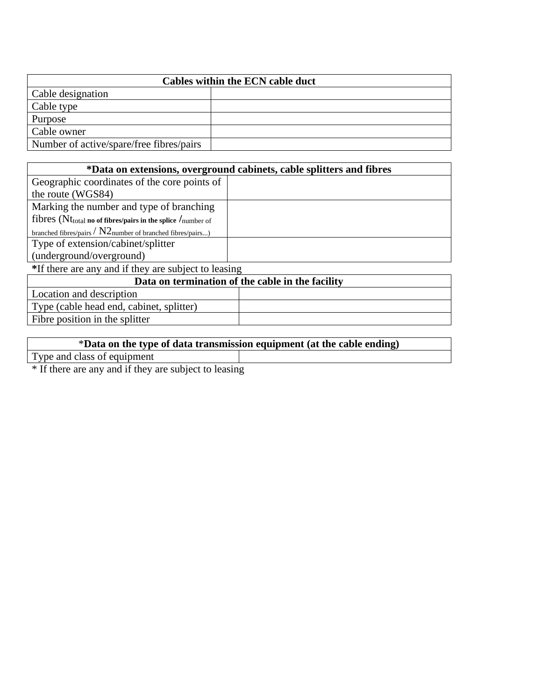| Cables within the ECN cable duct         |  |  |  |
|------------------------------------------|--|--|--|
| Cable designation                        |  |  |  |
| Cable type                               |  |  |  |
| Purpose                                  |  |  |  |
| Cable owner                              |  |  |  |
| Number of active/spare/free fibres/pairs |  |  |  |

| *Data on extensions, overground cabinets, cable splitters and fibres                  |  |  |
|---------------------------------------------------------------------------------------|--|--|
| Geographic coordinates of the core points of                                          |  |  |
| the route (WGS84)                                                                     |  |  |
| Marking the number and type of branching                                              |  |  |
| fibres (Nt <sub>total</sub> no of fibres/pairs in the splice $/$ <sub>number</sub> of |  |  |
| branched fibres/pairs / $N2$ number of branched fibres/pairs)                         |  |  |
| Type of extension/cabinet/splitter                                                    |  |  |
| (underground/overground)                                                              |  |  |
| *If there are any and if they are subject to leasing                                  |  |  |

| Data on termination of the cable in the facility |  |  |  |
|--------------------------------------------------|--|--|--|
|                                                  |  |  |  |
|                                                  |  |  |  |
|                                                  |  |  |  |
|                                                  |  |  |  |

| *Data on the type of data transmission equipment (at the cable ending) |  |  |  |  |
|------------------------------------------------------------------------|--|--|--|--|
| Type and class of equipment                                            |  |  |  |  |
|                                                                        |  |  |  |  |

\* If there are any and if they are subject to leasing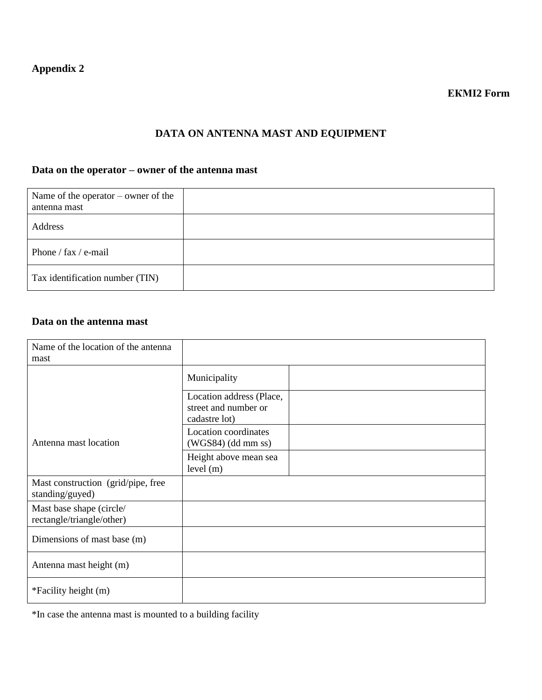# **DATA ON ANTENNA MAST AND EQUIPMENT**

# **Data on the operator – owner of the antenna mast**

| Name of the operator $-$ owner of the<br>antenna mast |  |
|-------------------------------------------------------|--|
| Address                                               |  |
| Phone / $\text{fax}$ / e-mail                         |  |
| Tax identification number (TIN)                       |  |

## **Data on the antenna mast**

| Name of the location of the antenna                   |                                                  |
|-------------------------------------------------------|--------------------------------------------------|
| mast                                                  |                                                  |
|                                                       | Municipality                                     |
|                                                       | Location address (Place,<br>street and number or |
|                                                       | cadastre lot)                                    |
| Antenna mast location                                 | Location coordinates<br>$(WGS84)$ (dd mm ss)     |
|                                                       | Height above mean sea<br>level (m)               |
| Mast construction (grid/pipe, free<br>standing/guyed) |                                                  |
| Mast base shape (circle/<br>rectangle/triangle/other) |                                                  |
| Dimensions of mast base (m)                           |                                                  |
| Antenna mast height (m)                               |                                                  |
| *Facility height (m)                                  |                                                  |

\*In case the antenna mast is mounted to a building facility